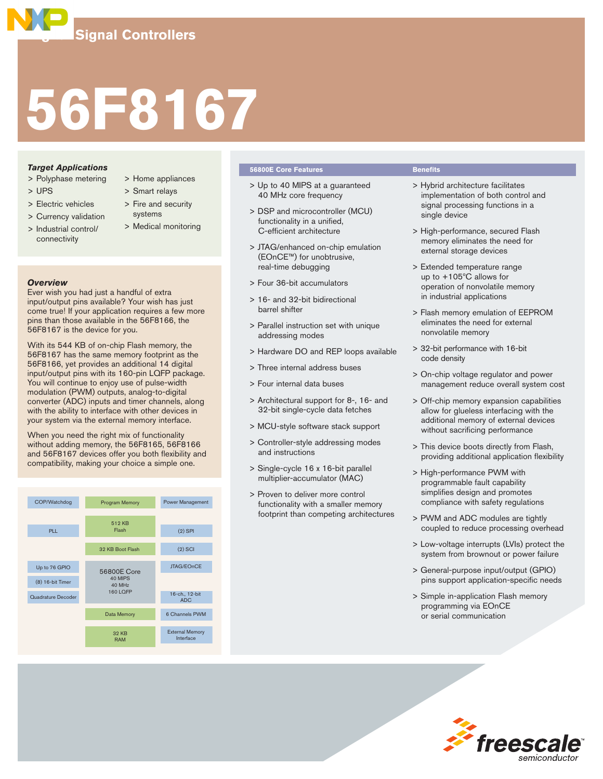# **56F8167**

# *Target Applications*

- > Polyphase metering
- > UPS
- > Electric vehicles
- > Currency validation
- > Industrial control/ connectivity
- > Home appliances
- > Smart relays
- > Fire and security systems
- > Medical monitoring

# *Overview*

Ever wish you had just a handful of extra input/output pins available? Your wish has just come true! If your application requires a few more pins than those available in the 56F8166, the 56F8167 is the device for you.

With its 544 KB of on-chip Flash memory, the 56F8167 has the same memory footprint as the 56F8166, yet provides an additional 14 digital input/output pins with its 160-pin LQFP package. You will continue to enjoy use of pulse-width modulation (PWM) outputs, analog-to-digital converter (ADC) inputs and timer channels, along with the ability to interface with other devices in your system via the external memory interface.

When you need the right mix of functionality without adding memory, the 56F8165, 56F8166 and 56F8167 devices offer you both flexibility and compatibility, making your choice a simple one.



# **56800E Core Features Benefits**

- > Up to 40 MIPS at a guaranteed 40 MHz core frequency
- > DSP and microcontroller (MCU) functionality in a unified, C-efficient architecture
- > JTAG/enhanced on-chip emulation (EOnCE™) for unobtrusive, real-time debugging
- > Four 36-bit accumulators
- > 16- and 32-bit bidirectional barrel shifter
- > Parallel instruction set with unique addressing modes
- > Hardware DO and REP loops available
- > Three internal address buses
- > Four internal data buses
- > Architectural support for 8-, 16- and 32-bit single-cycle data fetches
- > MCU-style software stack support
- > Controller-style addressing modes and instructions
- > Single-cycle 16 x 16-bit parallel multiplier-accumulator (MAC)
- > Proven to deliver more control functionality with a smaller memory footprint than competing architectures

- > Hybrid architecture facilitates implementation of both control and signal processing functions in a single device
- > High-performance, secured Flash memory eliminates the need for external storage devices
- > Extended temperature range up to +105ºC allows for operation of nonvolatile memory in industrial applications
- > Flash memory emulation of EEPROM eliminates the need for external nonvolatile memory
- > 32-bit performance with 16-bit code density
- > On-chip voltage regulator and power management reduce overall system cost
- > Off-chip memory expansion capabilities allow for glueless interfacing with the additional memory of external devices without sacrificing performance
- > This device boots directly from Flash, providing additional application flexibility
- > High-performance PWM with programmable fault capability simplifies design and promotes compliance with safety regulations
- > PWM and ADC modules are tightly coupled to reduce processing overhead
- > Low-voltage interrupts (LVIs) protect the system from brownout or power failure
- > General-purpose input/output (GPIO) pins support application-specific needs
- > Simple in-application Flash memory programming via EOnCE or serial communication